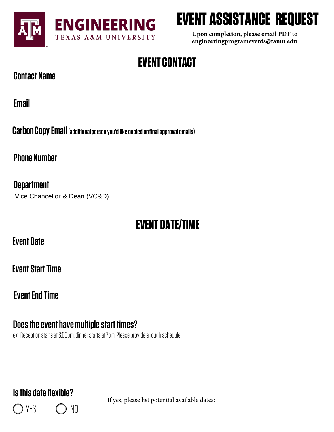

# **EVENT ASSISTANCE REQUEST**

**Upon completion, please email PDF to engineeringprogramevents@tamu.edu**

## **EVENT CONTACT**

### **Contact Name**

**Email**

**Carbon Copy Email (additional person you'd like copied on final approval emails)** 

**Phone Number** 

**Department** Vice Chancellor & Dean (VC&D)

### **EVENT DATE/TIME**

**Event Date**

**Event Start Time**

**Event End Time**

### **Does the event have multiple start times?**

e.g. Reception starts at 6:00pm, dinner starts at 7pm. Please provide a rough schedule

### **Is this date flexible?**

YES C NO

If yes, please list potential available dates: